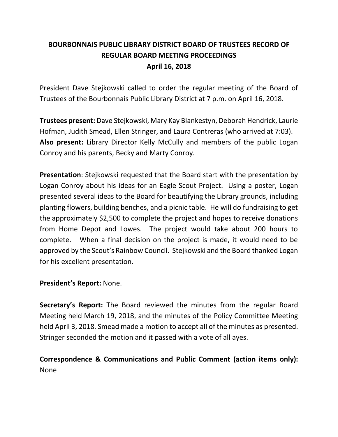# **BOURBONNAIS PUBLIC LIBRARY DISTRICT BOARD OF TRUSTEES RECORD OF REGULAR BOARD MEETING PROCEEDINGS April 16, 2018**

President Dave Stejkowski called to order the regular meeting of the Board of Trustees of the Bourbonnais Public Library District at 7 p.m. on April 16, 2018.

**Trustees present:** Dave Stejkowski, Mary Kay Blankestyn, Deborah Hendrick, Laurie Hofman, Judith Smead, Ellen Stringer, and Laura Contreras (who arrived at 7:03). **Also present:** Library Director Kelly McCully and members of the public Logan Conroy and his parents, Becky and Marty Conroy.

**Presentation**: Stejkowski requested that the Board start with the presentation by Logan Conroy about his ideas for an Eagle Scout Project. Using a poster, Logan presented several ideas to the Board for beautifying the Library grounds, including planting flowers, building benches, and a picnic table. He will do fundraising to get the approximately \$2,500 to complete the project and hopes to receive donations from Home Depot and Lowes. The project would take about 200 hours to complete. When a final decision on the project is made, it would need to be approved by the Scout's Rainbow Council. Stejkowski and the Board thanked Logan for his excellent presentation.

#### **President's Report:** None.

**Secretary's Report:** The Board reviewed the minutes from the regular Board Meeting held March 19, 2018, and the minutes of the Policy Committee Meeting held April 3, 2018. Smead made a motion to accept all of the minutes as presented. Stringer seconded the motion and it passed with a vote of all ayes.

## **Correspondence & Communications and Public Comment (action items only):** None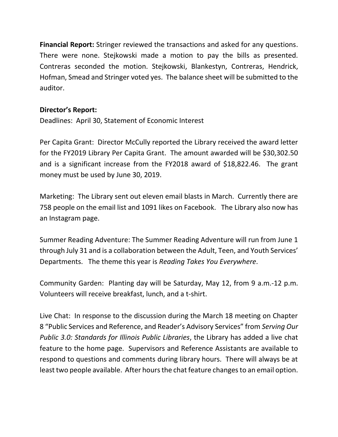**Financial Report:** Stringer reviewed the transactions and asked for any questions. There were none. Stejkowski made a motion to pay the bills as presented. Contreras seconded the motion. Stejkowski, Blankestyn, Contreras, Hendrick, Hofman, Smead and Stringer voted yes. The balance sheet will be submitted to the auditor.

#### **Director's Report:**

Deadlines: April 30, Statement of Economic Interest

Per Capita Grant: Director McCully reported the Library received the award letter for the FY2019 Library Per Capita Grant. The amount awarded will be \$30,302.50 and is a significant increase from the FY2018 award of \$18,822.46. The grant money must be used by June 30, 2019.

Marketing: The Library sent out eleven email blasts in March. Currently there are 758 people on the email list and 1091 likes on Facebook. The Library also now has an Instagram page.

Summer Reading Adventure: The Summer Reading Adventure will run from June 1 through July 31 and is a collaboration between the Adult, Teen, and Youth Services' Departments. The theme this year is *Reading Takes You Everywhere*.

Community Garden: Planting day will be Saturday, May 12, from 9 a.m.-12 p.m. Volunteers will receive breakfast, lunch, and a t-shirt.

Live Chat: In response to the discussion during the March 18 meeting on Chapter 8 "Public Services and Reference, and Reader's Advisory Services" from *Serving Our Public 3.0: Standards for Illinois Public Libraries*, the Library has added a live chat feature to the home page. Supervisors and Reference Assistants are available to respond to questions and comments during library hours. There will always be at least two people available. After hours the chat feature changes to an email option.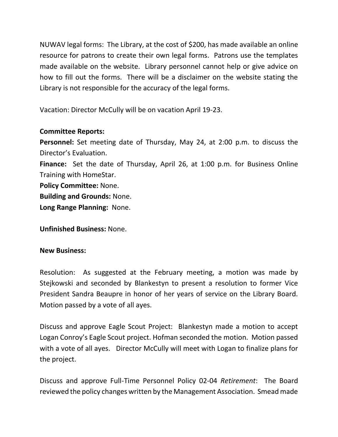NUWAV legal forms: The Library, at the cost of \$200, has made available an online resource for patrons to create their own legal forms. Patrons use the templates made available on the website. Library personnel cannot help or give advice on how to fill out the forms. There will be a disclaimer on the website stating the Library is not responsible for the accuracy of the legal forms.

Vacation: Director McCully will be on vacation April 19-23.

### **Committee Reports:**

**Personnel:** Set meeting date of Thursday, May 24, at 2:00 p.m. to discuss the Director's Evaluation. **Finance:** Set the date of Thursday, April 26, at 1:00 p.m. for Business Online Training with HomeStar. **Policy Committee:** None. **Building and Grounds:** None. **Long Range Planning:** None.

**Unfinished Business:** None.

#### **New Business:**

Resolution: As suggested at the February meeting, a motion was made by Stejkowski and seconded by Blankestyn to present a resolution to former Vice President Sandra Beaupre in honor of her years of service on the Library Board. Motion passed by a vote of all ayes.

Discuss and approve Eagle Scout Project: Blankestyn made a motion to accept Logan Conroy's Eagle Scout project. Hofman seconded the motion. Motion passed with a vote of all ayes. Director McCully will meet with Logan to finalize plans for the project.

Discuss and approve Full-Time Personnel Policy 02-04 *Retirement*: The Board reviewed the policy changes written by the Management Association. Smead made